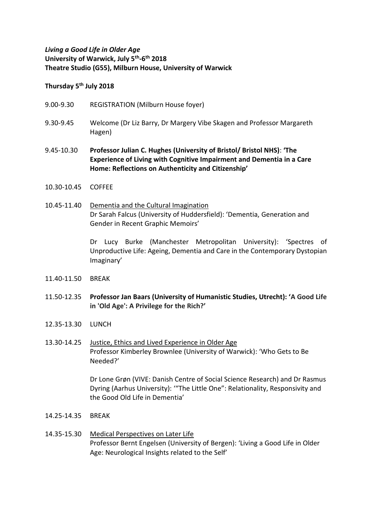## *Living a Good Life in Older Age* **University of Warwick, July 5th -6 th 2018 Theatre Studio (G55), Milburn House, University of Warwick**

## **Thursday 5th July 2018**

- 9.00-9.30 REGISTRATION (Milburn House foyer)
- 9.30-9.45 Welcome (Dr Liz Barry, Dr Margery Vibe Skagen and Professor Margareth Hagen)
- 9.45-10.30 **Professor Julian C. Hughes (University of Bristol/ Bristol NHS)**: **'The Experience of Living with Cognitive Impairment and Dementia in a Care Home: Reflections on Authenticity and Citizenship'**
- 10.30-10.45 COFFEE
- 10.45-11.40 Dementia and the Cultural Imagination Dr Sarah Falcus (University of Huddersfield): 'Dementia, Generation and Gender in Recent Graphic Memoirs'

Dr Lucy Burke (Manchester Metropolitan University): 'Spectres of Unproductive Life: Ageing, Dementia and Care in the Contemporary Dystopian Imaginary'

- 11.40-11.50 BREAK
- 11.50-12.35 **Professor Jan Baars (University of Humanistic Studies, Utrecht): 'A Good Life in 'Old Age': A Privilege for the Rich?'**
- 12.35-13.30 LUNCH
- 13.30-14.25 Justice, Ethics and Lived Experience in Older Age Professor Kimberley Brownlee (University of Warwick): 'Who Gets to Be Needed?'

Dr Lone Grøn (VIVE: Danish Centre of Social Science Research) and Dr Rasmus Dyring (Aarhus University): '"The Little One": Relationality, Responsivity and the Good Old Life in Dementia'

- 14.25-14.35 BREAK
- 14.35-15.30 Medical Perspectives on Later Life Professor Bernt Engelsen (University of Bergen): 'Living a Good Life in Older Age: Neurological Insights related to the Self'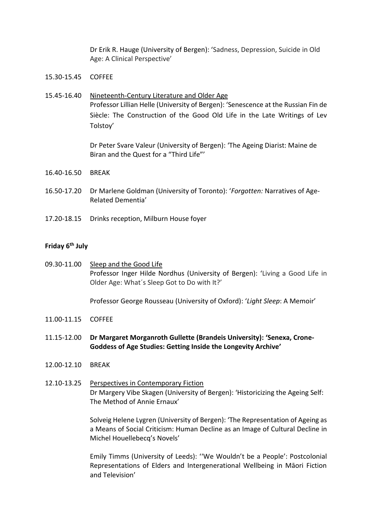Dr Erik R. Hauge (University of Bergen): 'Sadness, Depression, Suicide in Old Age: A Clinical Perspective'

- 15.30-15.45 COFFEE
- 15.45-16.40 Nineteenth-Century Literature and Older Age Professor Lillian Helle (University of Bergen): 'Senescence at the Russian Fin de Siècle: The Construction of the Good Old Life in the Late Writings of Lev Tolstoy'

Dr Peter Svare Valeur (University of Bergen): 'The Ageing Diarist: Maine de Biran and the Quest for a "Third Life"'

- 16.40-16.50 BREAK
- 16.50-17.20 Dr Marlene Goldman (University of Toronto): '*Forgotten:* Narratives of Age-Related Dementia'
- 17.20-18.15 Drinks reception, Milburn House foyer

## **Friday 6th July**

09.30-11.00 Sleep and the Good Life Professor Inger Hilde Nordhus (University of Bergen): 'Living a Good Life in Older Age: What´s Sleep Got to Do with It?'

Professor George Rousseau (University of Oxford): '*Light Sleep*: A Memoir'

- 11.00-11.15 COFFEE
- 11.15-12.00 **Dr Margaret Morganroth Gullette (Brandeis University): 'Senexa, Crone-Goddess of Age Studies: Getting Inside the Longevity Archive'**
- 12.00-12.10 BREAK
- 12.10-13.25 Perspectives in Contemporary Fiction Dr Margery Vibe Skagen (University of Bergen): 'Historicizing the Ageing Self: The Method of Annie Ernaux'

Solveig Helene Lygren (University of Bergen): 'The Representation of Ageing as a Means of Social Criticism: Human Decline as an Image of Cultural Decline in Michel Houellebecq's Novels'

Emily Timms (University of Leeds): ''We Wouldn't be a People': Postcolonial Representations of Elders and Intergenerational Wellbeing in Māori Fiction and Television'